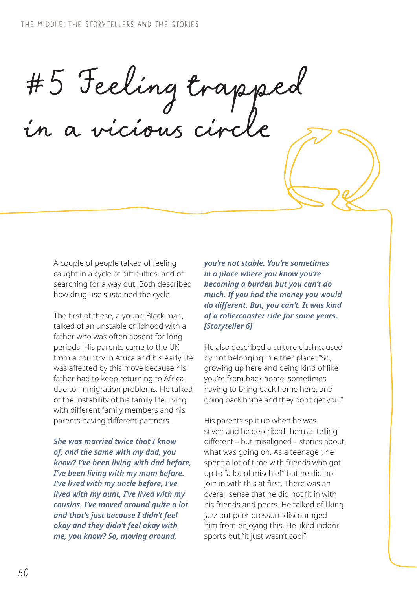#5 Feeling trapped in a vicious circle

A couple of people talked of feeling caught in a cycle of difficulties, and of searching for a way out. Both described how drug use sustained the cycle.

The first of these, a young Black man, talked of an unstable childhood with a father who was often absent for long periods. His parents came to the UK from a country in Africa and his early life was affected by this move because his father had to keep returning to Africa due to immigration problems. He talked of the instability of his family life, living with different family members and his parents having different partners.

*She was married twice that I know of, and the same with my dad, you know? I've been living with dad before, I've been living with my mum before. I've lived with my uncle before, I've lived with my aunt, I've lived with my cousins. I've moved around quite a lot and that's just because I didn't feel okay and they didn't feel okay with me, you know? So, moving around,* 

*you're not stable. You're sometimes in a place where you know you're becoming a burden but you can't do much. If you had the money you would do different. But, you can't. It was kind of a rollercoaster ride for some years. [Storyteller 6]*

He also described a culture clash caused by not belonging in either place: "So, growing up here and being kind of like you're from back home, sometimes having to bring back home here, and going back home and they don't get you."

His parents split up when he was seven and he described them as telling different – but misaligned – stories about what was going on. As a teenager, he spent a lot of time with friends who got up to "a lot of mischief" but he did not join in with this at first. There was an overall sense that he did not fit in with his friends and peers. He talked of liking jazz but peer pressure discouraged him from enjoying this. He liked indoor sports but "it just wasn't cool".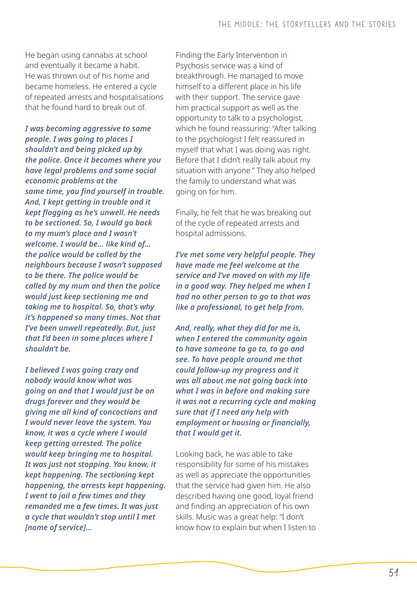He began using cannabis at school and eventually it became a habit. He was thrown out of his home and became homeless. He entered a cycle of repeated arrests and hospitalisations that he found hard to break out of.

*I was becoming aggressive to some people. I was going to places I shouldn't and being picked up by the police. Once it becomes where you have legal problems and some social economic problems at the same time, you find yourself in trouble. And, I kept getting in trouble and it kept flagging as he's unwell. He needs to be sectioned. So, I would go back to my mum's place and I wasn't welcome. I would be… like kind of… the police would be called by the neighbours because I wasn't supposed to be there. The police would be called by my mum and then the police would just keep sectioning me and taking me to hospital. So, that's why it's happened so many times. Not that I've been unwell repeatedly. But, just that I'd been in some places where I shouldn't be.*

*I believed I was going crazy and nobody would know what was going on and that I would just be on drugs forever and they would be giving me all kind of concoctions and I would never leave the system. You know, it was a cycle where I would keep getting arrested. The police would keep bringing me to hospital. It was just not stopping. You know, it kept happening. The sectioning kept happening, the arrests kept happening. I went to jail a few times and they remanded me a few times. It was just a cycle that wouldn't stop until I met [name of service]…* 

Finding the Early Intervention in Psychosis service was a kind of breakthrough. He managed to move himself to a different place in his life with their support. The service gave him practical support as well as the opportunity to talk to a psychologist, which he found reassuring: "After talking to the psychologist I felt reassured in myself that what I was doing was right. Before that I didn't really talk about my situation with anyone." They also helped the family to understand what was going on for him.

Finally, he felt that he was breaking out of the cycle of repeated arrests and hospital admissions.

*I've met some very helpful people. They have made me feel welcome at the service and I've moved on with my life in a good way. They helped me when I had no other person to go to that was like a professional, to get help from.*

*And, really, what they did for me is, when I entered the community again to have someone to go to, to go and see. To have people around me that could follow-up my progress and it was all about me not going back into what I was in before and making sure it was not a recurring cycle and making sure that if I need any help with employment or housing or financially, that I would get it.* 

Looking back, he was able to take responsibility for some of his mistakes as well as appreciate the opportunities that the service had given him. He also described having one good, loyal friend and finding an appreciation of his own skills. Music was a great help: "I don't know how to explain but when I listen to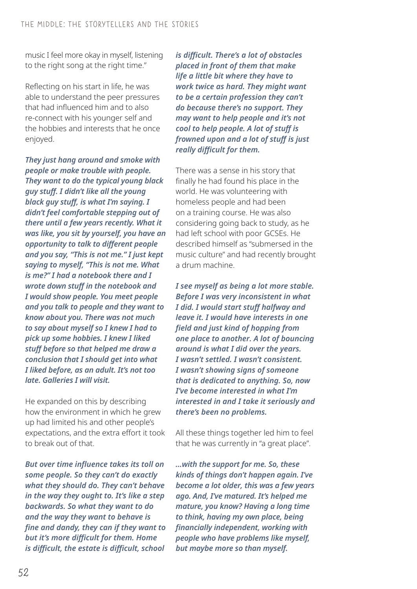music I feel more okay in myself, listening to the right song at the right time."

Reflecting on his start in life, he was able to understand the peer pressures that had influenced him and to also re-connect with his younger self and the hobbies and interests that he once enjoyed.

*They just hang around and smoke with people or make trouble with people. They want to do the typical young black guy stuff. I didn't like all the young black guy stuff, is what I'm saying. I didn't feel comfortable stepping out of there until a few years recently. What it was like, you sit by yourself, you have an opportunity to talk to different people and you say, "This is not me." I just kept saying to myself, "This is not me. What is me?" I had a notebook there and I wrote down stuff in the notebook and I would show people. You meet people and you talk to people and they want to know about you. There was not much to say about myself so I knew I had to pick up some hobbies. I knew I liked stuff before so that helped me draw a conclusion that I should get into what I liked before, as an adult. It's not too late. Galleries I will visit.* 

He expanded on this by describing how the environment in which he grew up had limited his and other people's expectations, and the extra effort it took to break out of that.

*But over time influence takes its toll on some people. So they can't do exactly what they should do. They can't behave in the way they ought to. It's like a step backwards. So what they want to do and the way they want to behave is fine and dandy, they can if they want to but it's more difficult for them. Home is difficult, the estate is difficult, school* 

*is difficult. There's a lot of obstacles placed in front of them that make life a little bit where they have to work twice as hard. They might want to be a certain profession they can't do because there's no support. They may want to help people and it's not cool to help people. A lot of stuff is frowned upon and a lot of stuff is just really difficult for them.*

There was a sense in his story that finally he had found his place in the world. He was volunteering with homeless people and had been on a training course. He was also considering going back to study, as he had left school with poor GCSEs. He described himself as "submersed in the music culture" and had recently brought a drum machine.

*I see myself as being a lot more stable. Before I was very inconsistent in what I did. I would start stuff halfway and leave it. I would have interests in one field and just kind of hopping from one place to another. A lot of bouncing around is what I did over the years. I wasn't settled. I wasn't consistent. I wasn't showing signs of someone that is dedicated to anything. So, now I've become interested in what I'm interested in and I take it seriously and there's been no problems.*

All these things together led him to feel that he was currently in "a great place".

*…with the support for me. So, these kinds of things don't happen again. I've become a lot older, this was a few years ago. And, I've matured. It's helped me mature, you know? Having a long time to think, having my own place, being financially independent, working with people who have problems like myself, but maybe more so than myself.*